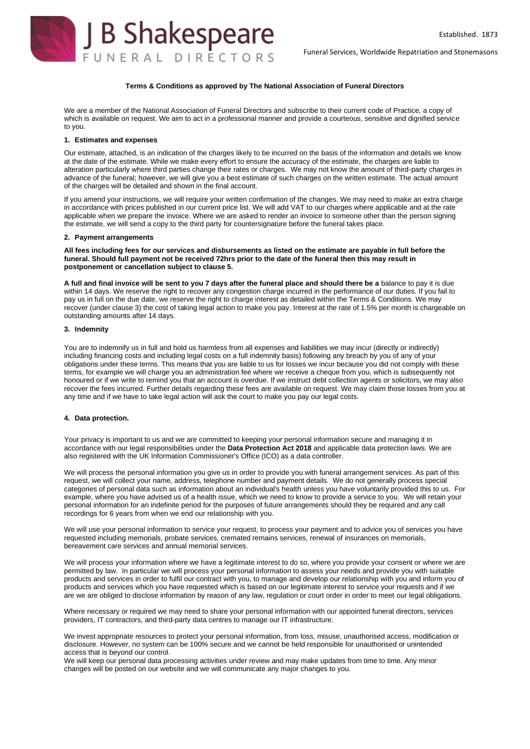Funeral Services, Worldwide Repatriation and Stonemasons



## **Terms & Conditions as approved by The National Association of Funeral Directors**

We are a member of the National Association of Funeral Directors and subscribe to their current code of Practice, a copy of which is available on request. We aim to act in a professional manner and provide a courteous, sensitive and dignified service to you.

## **1. Estimates and expenses**

Our estimate, attached, is an indication of the charges likely to be incurred on the basis of the information and details we know at the date of the estimate. While we make every effort to ensure the accuracy of the estimate, the charges are liable to alteration particularly where third parties change their rates or charges. We may not know the amount of third-party charges in advance of the funeral; however, we will give you a best estimate of such charges on the written estimate. The actual amount of the charges will be detailed and shown in the final account.

If you amend your instructions, we will require your written confirmation of the changes. We may need to make an extra charge in accordance with prices published in our current price list. We will add VAT to our charges where applicable and at the rate applicable when we prepare the invoice. Where we are asked to render an invoice to someone other than the person signing the estimate, we will send a copy to the third party for countersignature before the funeral takes place.

## **2. Payment arrangements**

**All fees including fees for our services and disbursements as listed on the estimate are payable in full before the funeral. Should full payment not be received 72hrs prior to the date of the funeral then this may result in postponement or cancellation subject to clause 5.**

**A full and final invoice will be sent to you 7 days after the funeral place and should there be a** balance to pay it is due within 14 days. We reserve the right to recover any congestion charge incurred in the performance of our duties. If you fail to pay us in full on the due date, we reserve the right to charge interest as detailed within the Terms & Conditions. We may recover (under clause 3) the cost of taking legal action to make you pay. Interest at the rate of 1.5% per month is chargeable on outstanding amounts after 14 days.

## **3. Indemnity**

You are to indemnify us in full and hold us harmless from all expenses and liabilities we may incur (directly or indirectly) including financing costs and including legal costs on a full indemnity basis) following any breach by you of any of your obligations under these terms. This means that you are liable to us for losses we incur because you did not comply with these terms, for example we will charge you an administration fee where we receive a cheque from you, which is subsequently not honoured or if we write to remind you that an account is overdue. If we instruct debt collection agents or solicitors, we may also recover the fees incurred. Further details regarding these fees are available on request. We may claim those losses from you at any time and if we have to take legal action will ask the court to make you pay our legal costs.

### **4. Data protection.**

Your privacy is important to us and we are committed to keeping your personal information secure and managing it in accordance with our legal responsibilities under the **Data Protection Act 2018** and applicable data protection laws. We are also registered with the UK Information Commissioner's Office (ICO) as a data controller.

We will process the personal information you give us in order to provide you with funeral arrangement services. As part of this request, we will collect your name, address, telephone number and payment details. We do not generally process special categories of personal data such as information about an individual's health unless you have voluntarily provided this to us. For example, where you have advised us of a health issue, which we need to know to provide a service to you. We will retain your personal information for an indefinite period for the purposes of future arrangements should they be required and any call recordings for 6 years from when we end our relationship with you.

We will use your personal information to service your request, to process your payment and to advice you of services you have requested including memorials, probate services, cremated remains services, renewal of insurances on memorials, bereavement care services and annual memorial services.

We will process your information where we have a legitimate interest to do so, where you provide your consent or where we are permitted by law. In particular we will process your personal information to assess your needs and provide you with suitable products and services in order to fulfil our contract with you, to manage and develop our relationship with you and inform you of products and services which you have requested which is based on our legitimate interest to service your requests and if we are we are obliged to disclose information by reason of any law, regulation or court order in order to meet our legal obligations.

Where necessary or required we may need to share your personal information with our appointed funeral directors, services providers, IT contractors, and third-party data centres to manage our IT infrastructure.

We invest appropriate resources to protect your personal information, from loss, misuse, unauthorised access, modification or disclosure. However, no system can be 100% secure and we cannot be held responsible for unauthorised or unintended access that is beyond our control.

We will keep our personal data processing activities under review and may make updates from time to time. Any minor changes will be posted on our website and we will communicate any major changes to you.